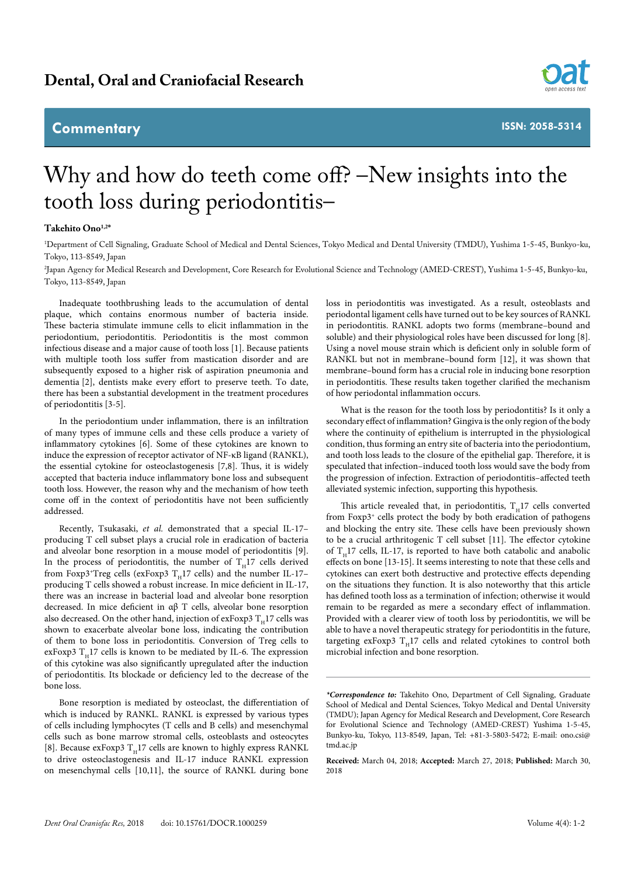## **Commentary**



**ISSN: 2058-5314**

## Why and how do teeth come off? –New insights into the tooth loss during periodontitis–

## **Takehito Ono1,2\***

1 Department of Cell Signaling, Graduate School of Medical and Dental Sciences, Tokyo Medical and Dental University (TMDU), Yushima 1-5-45, Bunkyo-ku, Tokyo, 113-8549, Japan

2 Japan Agency for Medical Research and Development, Core Research for Evolutional Science and Technology (AMED-CREST), Yushima 1-5-45, Bunkyo-ku, Tokyo, 113-8549, Japan

Inadequate toothbrushing leads to the accumulation of dental plaque, which contains enormous number of bacteria inside. These bacteria stimulate immune cells to elicit inflammation in the periodontium, periodontitis. Periodontitis is the most common infectious disease and a major cause of tooth loss [1]. Because patients with multiple tooth loss suffer from mastication disorder and are subsequently exposed to a higher risk of aspiration pneumonia and dementia [2], dentists make every effort to preserve teeth. To date, there has been a substantial development in the treatment procedures of periodontitis [3-5].

In the periodontium under inflammation, there is an infiltration of many types of immune cells and these cells produce a variety of inflammatory cytokines [6]. Some of these cytokines are known to induce the expression of receptor activator of NF-κB ligand (RANKL), the essential cytokine for osteoclastogenesis [7,8]. Thus, it is widely accepted that bacteria induce inflammatory bone loss and subsequent tooth loss. However, the reason why and the mechanism of how teeth come off in the context of periodontitis have not been sufficiently addressed.

Recently, Tsukasaki, *et al.* demonstrated that a special IL-17– producing T cell subset plays a crucial role in eradication of bacteria and alveolar bone resorption in a mouse model of periodontitis [9]. In the process of periodontitis, the number of  $T_H17$  cells derived from Foxp3<sup>+</sup>Treg cells (exFoxp3  $T_H$ 17 cells) and the number IL-17– producing T cells showed a robust increase. In mice deficient in IL-17, there was an increase in bacterial load and alveolar bone resorption decreased. In mice deficient in αβ T cells, alveolar bone resorption also decreased. On the other hand, injection of  $e$ xFoxp3  $T<sub>u</sub>$ 17 cells was shown to exacerbate alveolar bone loss, indicating the contribution of them to bone loss in periodontitis. Conversion of Treg cells to exFoxp3  $T_H$ 17 cells is known to be mediated by IL-6. The expression of this cytokine was also significantly upregulated after the induction of periodontitis. Its blockade or deficiency led to the decrease of the bone loss.

Bone resorption is mediated by osteoclast, the differentiation of which is induced by RANKL. RANKL is expressed by various types of cells including lymphocytes (T cells and B cells) and mesenchymal cells such as bone marrow stromal cells, osteoblasts and osteocytes [8]. Because exFoxp3  $T_H$ 17 cells are known to highly express RANKL to drive osteoclastogenesis and IL-17 induce RANKL expression on mesenchymal cells [10,11], the source of RANKL during bone

loss in periodontitis was investigated. As a result, osteoblasts and periodontal ligament cells have turned out to be key sources of RANKL in periodontitis. RANKL adopts two forms (membrane–bound and soluble) and their physiological roles have been discussed for long [8]. Using a novel mouse strain which is deficient only in soluble form of RANKL but not in membrane–bound form [12], it was shown that membrane–bound form has a crucial role in inducing bone resorption in periodontitis. These results taken together clarified the mechanism of how periodontal inflammation occurs.

What is the reason for the tooth loss by periodontitis? Is it only a secondary effect of inflammation? Gingiva is the only region of the body where the continuity of epithelium is interrupted in the physiological condition, thus forming an entry site of bacteria into the periodontium, and tooth loss leads to the closure of the epithelial gap. Therefore, it is speculated that infection–induced tooth loss would save the body from the progression of infection. Extraction of periodontitis–affected teeth alleviated systemic infection, supporting this hypothesis.

This article revealed that, in periodontitis,  $T_H17$  cells converted from Foxp3<sup>+</sup> cells protect the body by both eradication of pathogens and blocking the entry site. These cells have been previously shown to be a crucial arthritogenic T cell subset [11]. The effector cytokine of  $T_H$ 17 cells, IL-17, is reported to have both catabolic and anabolic effects on bone [13-15]. It seems interesting to note that these cells and cytokines can exert both destructive and protective effects depending on the situations they function. It is also noteworthy that this article has defined tooth loss as a termination of infection; otherwise it would remain to be regarded as mere a secondary effect of inflammation. Provided with a clearer view of tooth loss by periodontitis, we will be able to have a novel therapeutic strategy for periodontitis in the future, targeting exFoxp3  $T_H$ 17 cells and related cytokines to control both microbial infection and bone resorption.

**Received:** March 04, 2018; **Accepted:** March 27, 2018; **Published:** March 30, 2018

*<sup>\*</sup>Correspondence to:* Takehito Ono, Department of Cell Signaling, Graduate School of Medical and Dental Sciences, Tokyo Medical and Dental University (TMDU); Japan Agency for Medical Research and Development, Core Research for Evolutional Science and Technology (AMED-CREST) Yushima 1-5-45, Bunkyo-ku, Tokyo, 113-8549, Japan, Tel: +81-3-5803-5472; E-mail: ono.csi@ tmd.ac.jp